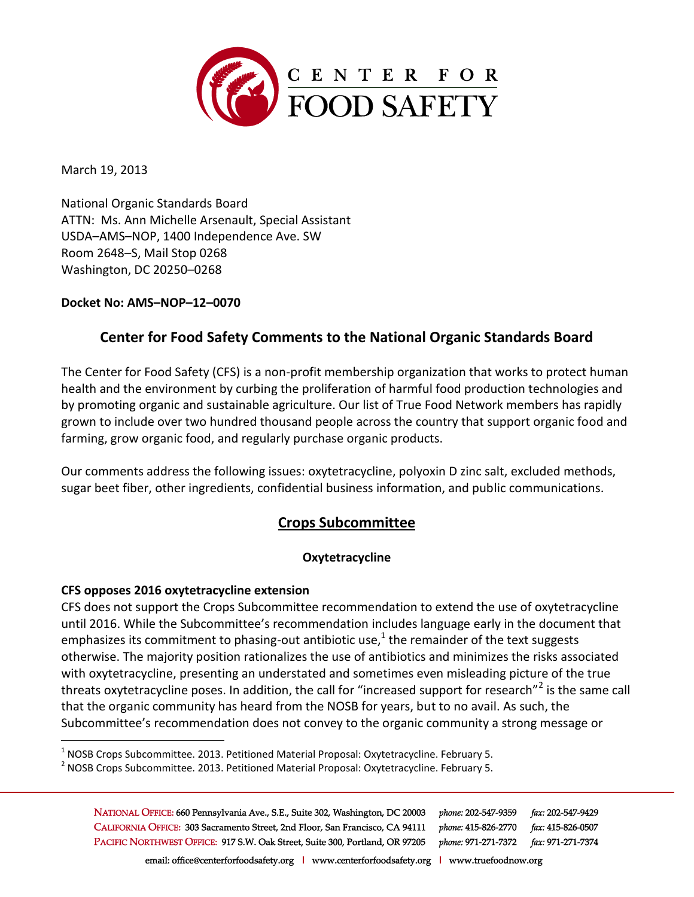

March 19, 2013

National Organic Standards Board ATTN: Ms. Ann Michelle Arsenault, Special Assistant USDA–AMS–NOP, 1400 Independence Ave. SW Room 2648–S, Mail Stop 0268 Washington, DC 20250–0268

**Docket No: AMS–NOP–12–0070**

# **Center for Food Safety Comments to the National Organic Standards Board**

The Center for Food Safety (CFS) is a non-profit membership organization that works to protect human health and the environment by curbing the proliferation of harmful food production technologies and by promoting organic and sustainable agriculture. Our list of True Food Network members has rapidly grown to include over two hundred thousand people across the country that support organic food and farming, grow organic food, and regularly purchase organic products.

Our comments address the following issues: oxytetracycline, polyoxin D zinc salt, excluded methods, sugar beet fiber, other ingredients, confidential business information, and public communications.

# **Crops Subcommittee**

## **Oxytetracycline**

### **CFS opposes 2016 oxytetracycline extension**

 $\overline{a}$ 

CFS does not support the Crops Subcommittee recommendation to extend the use of oxytetracycline until 2016. While the Subcommittee's recommendation includes language early in the document that emphasizes its commitment to phasing-out antibiotic use,<sup>1</sup> the remainder of the text suggests otherwise. The majority position rationalizes the use of antibiotics and minimizes the risks associated with oxytetracycline, presenting an understated and sometimes even misleading picture of the true threats oxytetracycline poses. In addition, the call for "increased support for research"<sup>2</sup> is the same call that the organic community has heard from the NOSB for years, but to no avail. As such, the Subcommittee's recommendation does not convey to the organic community a strong message or

 $^1$  NOSB Crops Subcommittee. 2013. Petitioned Material Proposal: Oxytetracycline. February 5.

 $^2$  NOSB Crops Subcommittee. 2013. Petitioned Material Proposal: Oxytetracycline. February 5.

NATIONAL OFFICE: 660 Pennsylvania Ave., S.E., Suite 302, Washington, DC 20003 phone: 202-547-9359 fax: 202-547-9429 CALIFORNIA OFFICE: 303 Sacramento Street, 2nd Floor, San Francisco, CA 94111 phone: 415-826-2770 fax: 415-826-0507 PACIFIC NORTHWEST OFFICE: 917 S.W. Oak Street, Suite 300, Portland, OR 97205 phone: 971-271-7372 fax: 971-271-7374

email: office@centerforfoodsafety.org | www.centerforfoodsafety.org | www.truefoodnow.org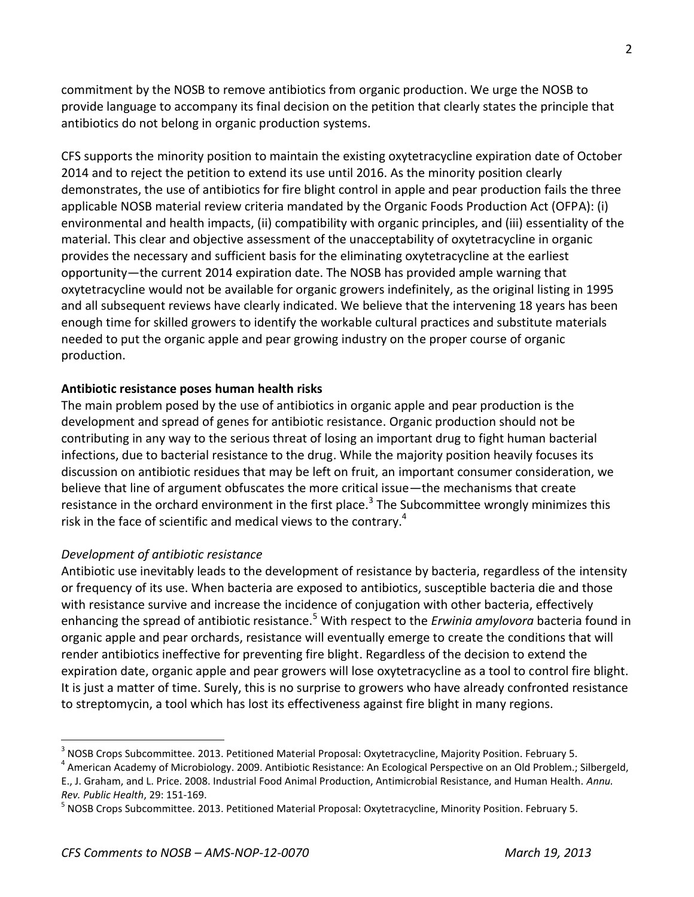commitment by the NOSB to remove antibiotics from organic production. We urge the NOSB to provide language to accompany its final decision on the petition that clearly states the principle that antibiotics do not belong in organic production systems.

CFS supports the minority position to maintain the existing oxytetracycline expiration date of October 2014 and to reject the petition to extend its use until 2016. As the minority position clearly demonstrates, the use of antibiotics for fire blight control in apple and pear production fails the three applicable NOSB material review criteria mandated by the Organic Foods Production Act (OFPA): (i) environmental and health impacts, (ii) compatibility with organic principles, and (iii) essentiality of the material. This clear and objective assessment of the unacceptability of oxytetracycline in organic provides the necessary and sufficient basis for the eliminating oxytetracycline at the earliest opportunity—the current 2014 expiration date. The NOSB has provided ample warning that oxytetracycline would not be available for organic growers indefinitely, as the original listing in 1995 and all subsequent reviews have clearly indicated. We believe that the intervening 18 years has been enough time for skilled growers to identify the workable cultural practices and substitute materials needed to put the organic apple and pear growing industry on the proper course of organic production.

## **Antibiotic resistance poses human health risks**

The main problem posed by the use of antibiotics in organic apple and pear production is the development and spread of genes for antibiotic resistance. Organic production should not be contributing in any way to the serious threat of losing an important drug to fight human bacterial infections, due to bacterial resistance to the drug. While the majority position heavily focuses its discussion on antibiotic residues that may be left on fruit, an important consumer consideration, we believe that line of argument obfuscates the more critical issue—the mechanisms that create resistance in the orchard environment in the first place.<sup>3</sup> The Subcommittee wrongly minimizes this risk in the face of scientific and medical views to the contrary.<sup>4</sup>

### *Development of antibiotic resistance*

 $\overline{a}$ 

Antibiotic use inevitably leads to the development of resistance by bacteria, regardless of the intensity or frequency of its use. When bacteria are exposed to antibiotics, susceptible bacteria die and those with resistance survive and increase the incidence of conjugation with other bacteria, effectively enhancing the spread of antibiotic resistance.<sup>5</sup> With respect to the *Erwinia amylovora* bacteria found in organic apple and pear orchards, resistance will eventually emerge to create the conditions that will render antibiotics ineffective for preventing fire blight. Regardless of the decision to extend the expiration date, organic apple and pear growers will lose oxytetracycline as a tool to control fire blight. It is just a matter of time. Surely, this is no surprise to growers who have already confronted resistance to streptomycin, a tool which has lost its effectiveness against fire blight in many regions.

 $^3$  NOSB Crops Subcommittee. 2013. Petitioned Material Proposal: Oxytetracycline, Majority Position. February 5.

<sup>&</sup>lt;sup>4</sup> American Academy of Microbiology. 2009. Antibiotic Resistance: An Ecological Perspective on an Old Problem.; Silbergeld, E., J. Graham, and L. Price. 2008. Industrial Food Animal Production, Antimicrobial Resistance, and Human Health. *Annu. Rev. Public Health*, 29: 151-169.

<sup>&</sup>lt;sup>5</sup> NOSB Crops Subcommittee. 2013. Petitioned Material Proposal: Oxytetracycline, Minority Position. February 5.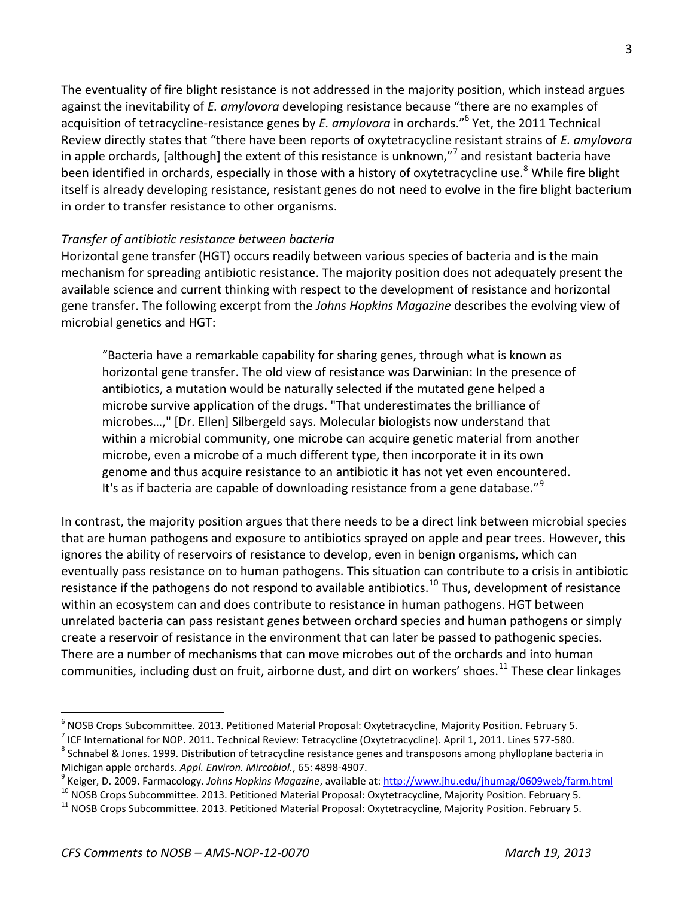The eventuality of fire blight resistance is not addressed in the majority position, which instead argues against the inevitability of *E. amylovora* developing resistance because "there are no examples of acquisition of tetracycline-resistance genes by *E. amylovora* in orchards."<sup>6</sup> Yet, the 2011 Technical Review directly states that "there have been reports of oxytetracycline resistant strains of *E. amylovora* in apple orchards, [although] the extent of this resistance is unknown,"<sup>7</sup> and resistant bacteria have been identified in orchards, especially in those with a history of oxytetracycline use.<sup>8</sup> While fire blight itself is already developing resistance, resistant genes do not need to evolve in the fire blight bacterium in order to transfer resistance to other organisms.

### *Transfer of antibiotic resistance between bacteria*

Horizontal gene transfer (HGT) occurs readily between various species of bacteria and is the main mechanism for spreading antibiotic resistance. The majority position does not adequately present the available science and current thinking with respect to the development of resistance and horizontal gene transfer. The following excerpt from the *Johns Hopkins Magazine* describes the evolving view of microbial genetics and HGT:

"Bacteria have a remarkable capability for sharing genes, through what is known as horizontal gene transfer. The old view of resistance was Darwinian: In the presence of antibiotics, a mutation would be naturally selected if the mutated gene helped a microbe survive application of the drugs. "That underestimates the brilliance of microbes…," [Dr. Ellen] Silbergeld says. Molecular biologists now understand that within a microbial community, one microbe can acquire genetic material from another microbe, even a microbe of a much different type, then incorporate it in its own genome and thus acquire resistance to an antibiotic it has not yet even encountered. It's as if bacteria are capable of downloading resistance from a gene database."<sup>9</sup>

In contrast, the majority position argues that there needs to be a direct link between microbial species that are human pathogens and exposure to antibiotics sprayed on apple and pear trees. However, this ignores the ability of reservoirs of resistance to develop, even in benign organisms, which can eventually pass resistance on to human pathogens. This situation can contribute to a crisis in antibiotic resistance if the pathogens do not respond to available antibiotics.<sup>10</sup> Thus, development of resistance within an ecosystem can and does contribute to resistance in human pathogens. HGT between unrelated bacteria can pass resistant genes between orchard species and human pathogens or simply create a reservoir of resistance in the environment that can later be passed to pathogenic species. There are a number of mechanisms that can move microbes out of the orchards and into human communities, including dust on fruit, airborne dust, and dirt on workers' shoes.<sup>11</sup> These clear linkages

<sup>6</sup> NOSB Crops Subcommittee. 2013. Petitioned Material Proposal: Oxytetracycline, Majority Position. February 5.

<sup>&</sup>lt;sup>7</sup> ICF International for NOP. 2011. Technical Review: Tetracycline (Oxytetracycline). April 1, 2011. Lines 577-580.

 $^8$  Schnabel & Jones. 1999. Distribution of tetracycline resistance genes and transposons among phylloplane bacteria in Michigan apple orchards. *Appl. Environ. Mircobiol.*, 65: 4898-4907.

<sup>9</sup> Keiger, D. 2009. Farmacology. *Johns Hopkins Magazine*, available at[: http://www.jhu.edu/jhumag/0609web/farm.html](http://www.jhu.edu/jhumag/0609web/farm.html)

<sup>&</sup>lt;sup>10</sup> NOSB Crops Subcommittee. 2013. Petitioned Material Proposal: Oxytetracycline, Majority Position. February 5.

<sup>&</sup>lt;sup>11</sup> NOSB Crops Subcommittee. 2013. Petitioned Material Proposal: Oxytetracycline, Majority Position. February 5.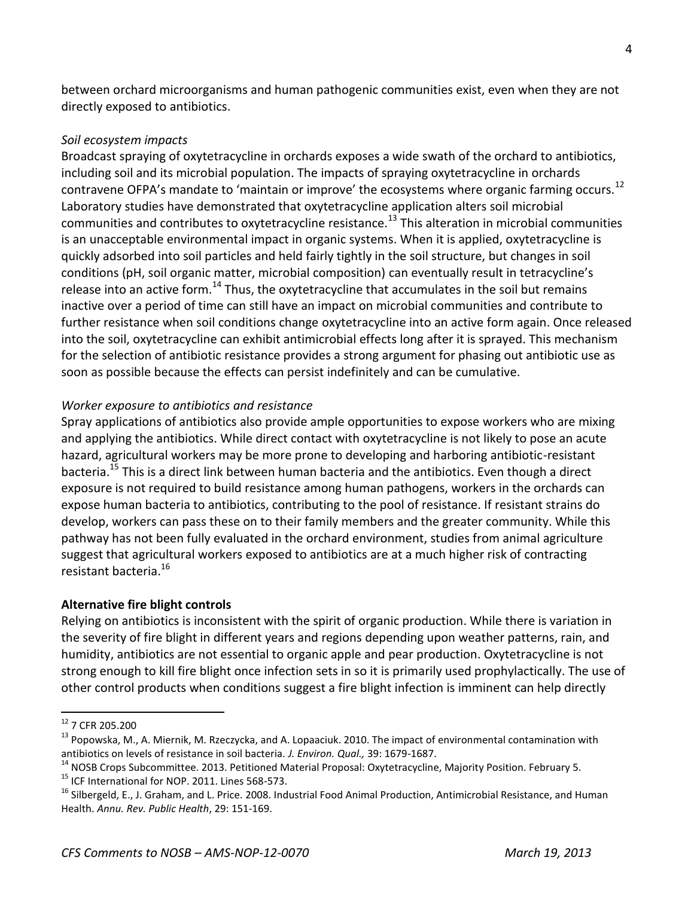between orchard microorganisms and human pathogenic communities exist, even when they are not directly exposed to antibiotics.

## *Soil ecosystem impacts*

Broadcast spraying of oxytetracycline in orchards exposes a wide swath of the orchard to antibiotics, including soil and its microbial population. The impacts of spraying oxytetracycline in orchards contravene OFPA's mandate to 'maintain or improve' the ecosystems where organic farming occurs.<sup>12</sup> Laboratory studies have demonstrated that oxytetracycline application alters soil microbial communities and contributes to oxytetracycline resistance.<sup>13</sup> This alteration in microbial communities is an unacceptable environmental impact in organic systems. When it is applied, oxytetracycline is quickly adsorbed into soil particles and held fairly tightly in the soil structure, but changes in soil conditions (pH, soil organic matter, microbial composition) can eventually result in tetracycline's release into an active form.<sup>14</sup> Thus, the oxytetracycline that accumulates in the soil but remains inactive over a period of time can still have an impact on microbial communities and contribute to further resistance when soil conditions change oxytetracycline into an active form again. Once released into the soil, oxytetracycline can exhibit antimicrobial effects long after it is sprayed. This mechanism for the selection of antibiotic resistance provides a strong argument for phasing out antibiotic use as soon as possible because the effects can persist indefinitely and can be cumulative.

## *Worker exposure to antibiotics and resistance*

Spray applications of antibiotics also provide ample opportunities to expose workers who are mixing and applying the antibiotics. While direct contact with oxytetracycline is not likely to pose an acute hazard, agricultural workers may be more prone to developing and harboring antibiotic-resistant bacteria.<sup>15</sup> This is a direct link between human bacteria and the antibiotics. Even though a direct exposure is not required to build resistance among human pathogens, workers in the orchards can expose human bacteria to antibiotics, contributing to the pool of resistance. If resistant strains do develop, workers can pass these on to their family members and the greater community. While this pathway has not been fully evaluated in the orchard environment, studies from animal agriculture suggest that agricultural workers exposed to antibiotics are at a much higher risk of contracting resistant bacteria.<sup>16</sup>

## **Alternative fire blight controls**

Relying on antibiotics is inconsistent with the spirit of organic production. While there is variation in the severity of fire blight in different years and regions depending upon weather patterns, rain, and humidity, antibiotics are not essential to organic apple and pear production. Oxytetracycline is not strong enough to kill fire blight once infection sets in so it is primarily used prophylactically. The use of other control products when conditions suggest a fire blight infection is imminent can help directly

<sup>&</sup>lt;sup>12</sup> 7 CFR 205.200

<sup>&</sup>lt;sup>13</sup> Popowska, M., A. Miernik, M. Rzeczycka, and A. Lopaaciuk. 2010. The impact of environmental contamination with antibiotics on levels of resistance in soil bacteria. *J. Environ. Qual.,* 39: 1679-1687.

<sup>&</sup>lt;sup>14</sup> NOSB Crops Subcommittee. 2013. Petitioned Material Proposal: Oxytetracycline, Majority Position. February 5.

<sup>&</sup>lt;sup>15</sup> ICF International for NOP. 2011. Lines 568-573.

<sup>&</sup>lt;sup>16</sup> Silbergeld, E., J. Graham, and L. Price. 2008. Industrial Food Animal Production, Antimicrobial Resistance, and Human Health. *Annu. Rev. Public Health*, 29: 151-169.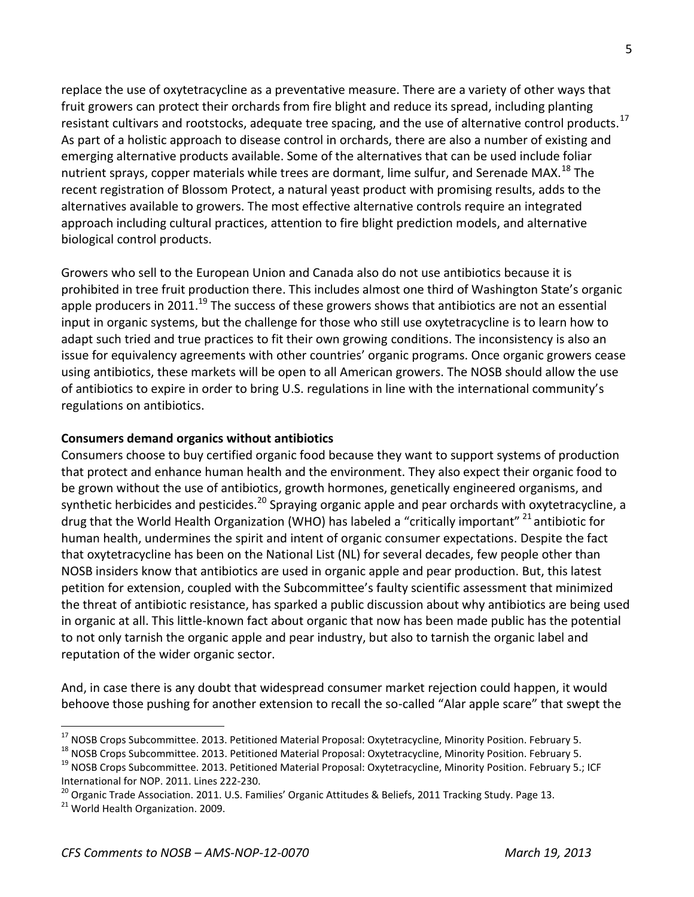replace the use of oxytetracycline as a preventative measure. There are a variety of other ways that fruit growers can protect their orchards from fire blight and reduce its spread, including planting resistant cultivars and rootstocks, adequate tree spacing, and the use of alternative control products.<sup>17</sup> As part of a holistic approach to disease control in orchards, there are also a number of existing and emerging alternative products available. Some of the alternatives that can be used include foliar nutrient sprays, copper materials while trees are dormant, lime sulfur, and Serenade MAX.<sup>18</sup> The recent registration of Blossom Protect, a natural yeast product with promising results, adds to the alternatives available to growers. The most effective alternative controls require an integrated approach including cultural practices, attention to fire blight prediction models, and alternative biological control products.

Growers who sell to the European Union and Canada also do not use antibiotics because it is prohibited in tree fruit production there. This includes almost one third of Washington State's organic apple producers in 2011.<sup>19</sup> The success of these growers shows that antibiotics are not an essential input in organic systems, but the challenge for those who still use oxytetracycline is to learn how to adapt such tried and true practices to fit their own growing conditions. The inconsistency is also an issue for equivalency agreements with other countries' organic programs. Once organic growers cease using antibiotics, these markets will be open to all American growers. The NOSB should allow the use of antibiotics to expire in order to bring U.S. regulations in line with the international community's regulations on antibiotics.

## **Consumers demand organics without antibiotics**

Consumers choose to buy certified organic food because they want to support systems of production that protect and enhance human health and the environment. They also expect their organic food to be grown without the use of antibiotics, growth hormones, genetically engineered organisms, and synthetic herbicides and pesticides.<sup>20</sup> Spraying organic apple and pear orchards with oxytetracycline, a drug that the World Health Organization (WHO) has labeled a "critically important" <sup>21</sup> antibiotic for human health, undermines the spirit and intent of organic consumer expectations. Despite the fact that oxytetracycline has been on the National List (NL) for several decades, few people other than NOSB insiders know that antibiotics are used in organic apple and pear production. But, this latest petition for extension, coupled with the Subcommittee's faulty scientific assessment that minimized the threat of antibiotic resistance, has sparked a public discussion about why antibiotics are being used in organic at all. This little-known fact about organic that now has been made public has the potential to not only tarnish the organic apple and pear industry, but also to tarnish the organic label and reputation of the wider organic sector.

And, in case there is any doubt that widespread consumer market rejection could happen, it would behoove those pushing for another extension to recall the so-called "Alar apple scare" that swept the

<sup>&</sup>lt;sup>17</sup> NOSB Crops Subcommittee. 2013. Petitioned Material Proposal: Oxytetracycline, Minority Position. February 5.

<sup>&</sup>lt;sup>18</sup> NOSB Crops Subcommittee. 2013. Petitioned Material Proposal: Oxytetracycline, Minority Position. February 5.

<sup>&</sup>lt;sup>19</sup> NOSB Crops Subcommittee. 2013. Petitioned Material Proposal: Oxytetracycline, Minority Position. February 5.; ICF International for NOP. 2011. Lines 222-230.

<sup>&</sup>lt;sup>20</sup> Organic Trade Association. 2011. U.S. Families' Organic Attitudes & Beliefs, 2011 Tracking Study. Page 13.

<sup>&</sup>lt;sup>21</sup> World Health Organization. 2009.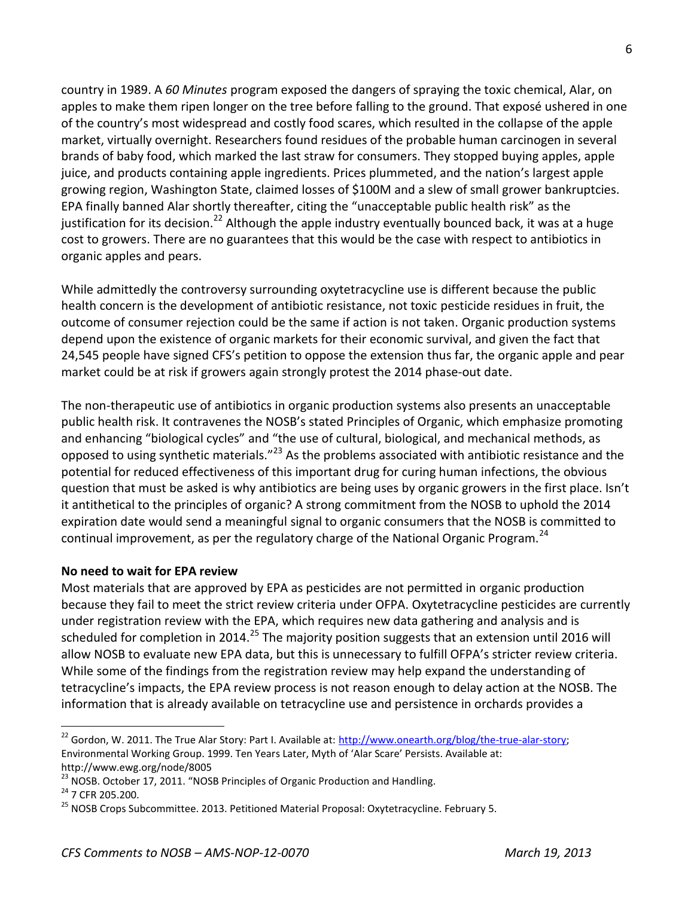country in 1989. A *60 Minutes* program exposed the dangers of spraying the toxic chemical, Alar, on apples to make them ripen longer on the tree before falling to the ground. That exposé ushered in one of the country's most widespread and costly food scares, which resulted in the collapse of the apple market, virtually overnight. Researchers found residues of the probable human carcinogen in several brands of baby food, which marked the last straw for consumers. They stopped buying apples, apple juice, and products containing apple ingredients. Prices plummeted, and the nation's largest apple growing region, Washington State, claimed losses of \$100M and a slew of small grower bankruptcies. EPA finally banned Alar shortly thereafter, citing the "unacceptable public health risk" as the justification for its decision.<sup>22</sup> Although the apple industry eventually bounced back, it was at a huge cost to growers. There are no guarantees that this would be the case with respect to antibiotics in organic apples and pears.

While admittedly the controversy surrounding oxytetracycline use is different because the public health concern is the development of antibiotic resistance, not toxic pesticide residues in fruit, the outcome of consumer rejection could be the same if action is not taken. Organic production systems depend upon the existence of organic markets for their economic survival, and given the fact that 24,545 people have signed CFS's petition to oppose the extension thus far, the organic apple and pear market could be at risk if growers again strongly protest the 2014 phase-out date.

The non-therapeutic use of antibiotics in organic production systems also presents an unacceptable public health risk. It contravenes the NOSB's stated Principles of Organic, which emphasize promoting and enhancing "biological cycles" and "the use of cultural, biological, and mechanical methods, as opposed to using synthetic materials."<sup>23</sup> As the problems associated with antibiotic resistance and the potential for reduced effectiveness of this important drug for curing human infections, the obvious question that must be asked is why antibiotics are being uses by organic growers in the first place. Isn't it antithetical to the principles of organic? A strong commitment from the NOSB to uphold the 2014 expiration date would send a meaningful signal to organic consumers that the NOSB is committed to continual improvement, as per the regulatory charge of the National Organic Program.<sup>24</sup>

### **No need to wait for EPA review**

Most materials that are approved by EPA as pesticides are not permitted in organic production because they fail to meet the strict review criteria under OFPA. Oxytetracycline pesticides are currently under registration review with the EPA, which requires new data gathering and analysis and is scheduled for completion in 2014.<sup>25</sup> The majority position suggests that an extension until 2016 will allow NOSB to evaluate new EPA data, but this is unnecessary to fulfill OFPA's stricter review criteria. While some of the findings from the registration review may help expand the understanding of tetracycline's impacts, the EPA review process is not reason enough to delay action at the NOSB. The information that is already available on tetracycline use and persistence in orchards provides a

<sup>&</sup>lt;sup>22</sup> Gordon, W. 2011. The True Alar Story: Part I. Available at: [http://www.onearth.org/blog/the-true-alar-story;](http://www.onearth.org/blog/the-true-alar-story) Environmental Working Group. 1999. Ten Years Later, Myth of 'Alar Scare' Persists. Available at: http://www.ewg.org/node/8005

<sup>&</sup>lt;sup>23</sup> NOSB. October 17, 2011. "NOSB Principles of Organic Production and Handling.

<sup>&</sup>lt;sup>24</sup> 7 CFR 205.200.

<sup>&</sup>lt;sup>25</sup> NOSB Crops Subcommittee. 2013. Petitioned Material Proposal: Oxytetracycline. February 5.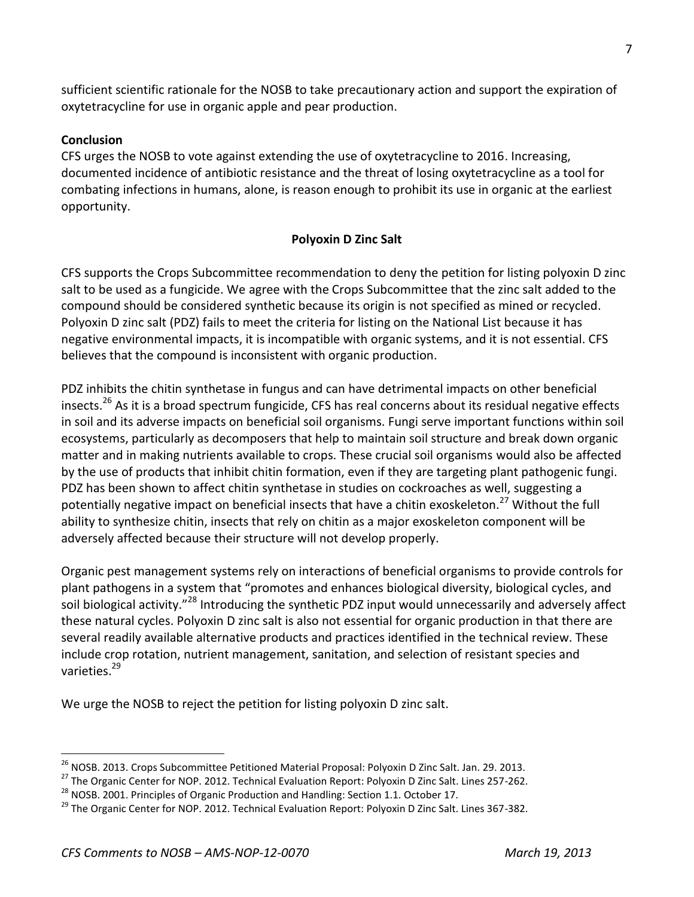sufficient scientific rationale for the NOSB to take precautionary action and support the expiration of oxytetracycline for use in organic apple and pear production.

## **Conclusion**

CFS urges the NOSB to vote against extending the use of oxytetracycline to 2016. Increasing, documented incidence of antibiotic resistance and the threat of losing oxytetracycline as a tool for combating infections in humans, alone, is reason enough to prohibit its use in organic at the earliest opportunity.

## **Polyoxin D Zinc Salt**

CFS supports the Crops Subcommittee recommendation to deny the petition for listing polyoxin D zinc salt to be used as a fungicide. We agree with the Crops Subcommittee that the zinc salt added to the compound should be considered synthetic because its origin is not specified as mined or recycled. Polyoxin D zinc salt (PDZ) fails to meet the criteria for listing on the National List because it has negative environmental impacts, it is incompatible with organic systems, and it is not essential. CFS believes that the compound is inconsistent with organic production.

PDZ inhibits the chitin synthetase in fungus and can have detrimental impacts on other beneficial insects.<sup>26</sup> As it is a broad spectrum fungicide, CFS has real concerns about its residual negative effects in soil and its adverse impacts on beneficial soil organisms. Fungi serve important functions within soil ecosystems, particularly as decomposers that help to maintain soil structure and break down organic matter and in making nutrients available to crops. These crucial soil organisms would also be affected by the use of products that inhibit chitin formation, even if they are targeting plant pathogenic fungi. PDZ has been shown to affect chitin synthetase in studies on cockroaches as well, suggesting a potentially negative impact on beneficial insects that have a chitin exoskeleton.<sup>27</sup> Without the full ability to synthesize chitin, insects that rely on chitin as a major exoskeleton component will be adversely affected because their structure will not develop properly.

Organic pest management systems rely on interactions of beneficial organisms to provide controls for plant pathogens in a system that "promotes and enhances biological diversity, biological cycles, and soil biological activity."<sup>28</sup> Introducing the synthetic PDZ input would unnecessarily and adversely affect these natural cycles. Polyoxin D zinc salt is also not essential for organic production in that there are several readily available alternative products and practices identified in the technical review. These include crop rotation, nutrient management, sanitation, and selection of resistant species and varieties $29$ 

We urge the NOSB to reject the petition for listing polyoxin D zinc salt.

<sup>&</sup>lt;sup>26</sup> NOSB. 2013. Crops Subcommittee Petitioned Material Proposal: Polyoxin D Zinc Salt. Jan. 29. 2013.

<sup>&</sup>lt;sup>27</sup> The Organic Center for NOP. 2012. Technical Evaluation Report: Polyoxin D Zinc Salt. Lines 257-262.

 $^{28}$  NOSB. 2001. Principles of Organic Production and Handling: Section 1.1. October 17.

<sup>&</sup>lt;sup>29</sup> The Organic Center for NOP. 2012. Technical Evaluation Report: Polyoxin D Zinc Salt. Lines 367-382.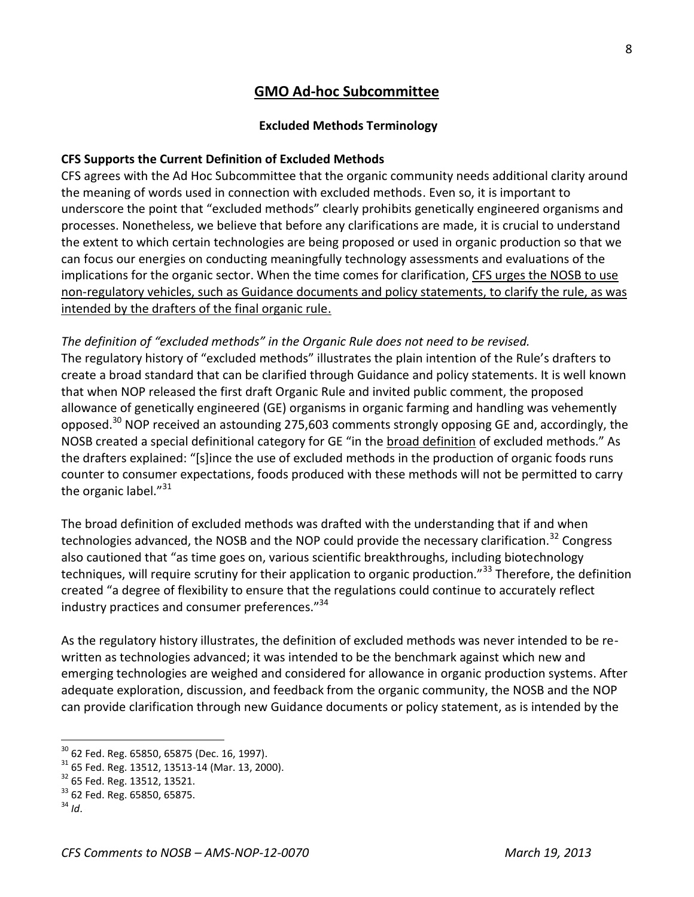# **GMO Ad-hoc Subcommittee**

#### **Excluded Methods Terminology**

### **CFS Supports the Current Definition of Excluded Methods**

CFS agrees with the Ad Hoc Subcommittee that the organic community needs additional clarity around the meaning of words used in connection with excluded methods. Even so, it is important to underscore the point that "excluded methods" clearly prohibits genetically engineered organisms and processes. Nonetheless, we believe that before any clarifications are made, it is crucial to understand the extent to which certain technologies are being proposed or used in organic production so that we can focus our energies on conducting meaningfully technology assessments and evaluations of the implications for the organic sector. When the time comes for clarification, CFS urges the NOSB to use non-regulatory vehicles, such as Guidance documents and policy statements, to clarify the rule, as was intended by the drafters of the final organic rule.

*The definition of "excluded methods" in the Organic Rule does not need to be revised.*  The regulatory history of "excluded methods" illustrates the plain intention of the Rule's drafters to create a broad standard that can be clarified through Guidance and policy statements. It is well known that when NOP released the first draft Organic Rule and invited public comment, the proposed allowance of genetically engineered (GE) organisms in organic farming and handling was vehemently opposed.<sup>30</sup> NOP received an astounding 275,603 comments strongly opposing GE and, accordingly, the NOSB created a special definitional category for GE "in the broad definition of excluded methods." As the drafters explained: "[s]ince the use of excluded methods in the production of organic foods runs counter to consumer expectations, foods produced with these methods will not be permitted to carry the organic label."<sup>31</sup>

The broad definition of excluded methods was drafted with the understanding that if and when technologies advanced, the NOSB and the NOP could provide the necessary clarification.<sup>32</sup> Congress also cautioned that "as time goes on, various scientific breakthroughs, including biotechnology techniques, will require scrutiny for their application to organic production."<sup>33</sup> Therefore, the definition created "a degree of flexibility to ensure that the regulations could continue to accurately reflect industry practices and consumer preferences."<sup>34</sup>

As the regulatory history illustrates, the definition of excluded methods was never intended to be rewritten as technologies advanced; it was intended to be the benchmark against which new and emerging technologies are weighed and considered for allowance in organic production systems. After adequate exploration, discussion, and feedback from the organic community, the NOSB and the NOP can provide clarification through new Guidance documents or policy statement, as is intended by the

 $30$  62 Fed. Reg. 65850, 65875 (Dec. 16, 1997).

<sup>31</sup> 65 Fed. Reg. 13512, 13513-14 (Mar. 13, 2000).

<sup>32</sup> 65 Fed. Reg. 13512, 13521.

 $33$  62 Fed. Reg. 65850, 65875.

 $34$  *Id*.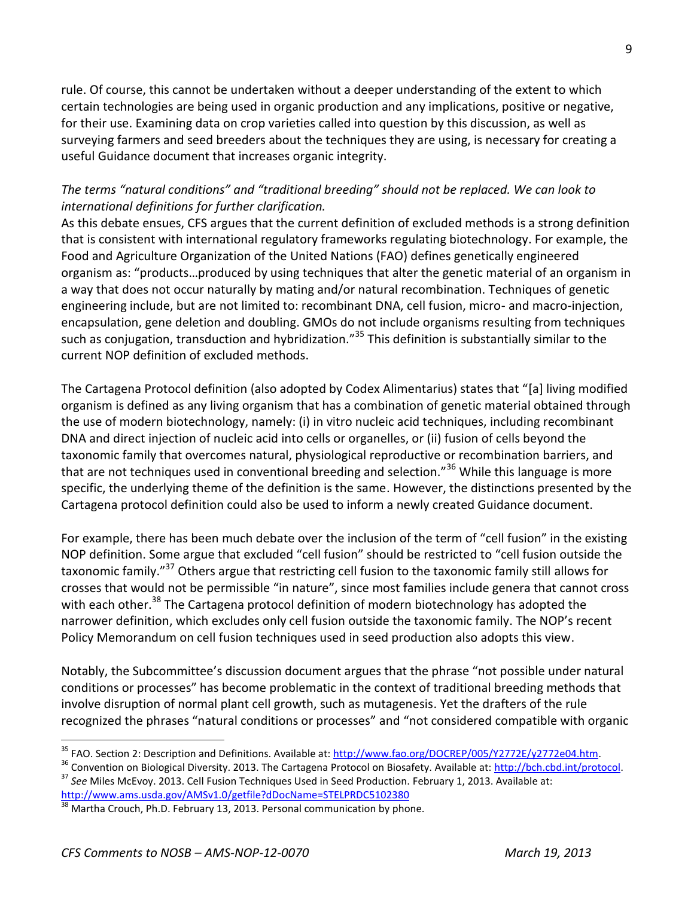rule. Of course, this cannot be undertaken without a deeper understanding of the extent to which certain technologies are being used in organic production and any implications, positive or negative, for their use. Examining data on crop varieties called into question by this discussion, as well as surveying farmers and seed breeders about the techniques they are using, is necessary for creating a useful Guidance document that increases organic integrity.

## *The terms "natural conditions" and "traditional breeding" should not be replaced. We can look to international definitions for further clarification.*

As this debate ensues, CFS argues that the current definition of excluded methods is a strong definition that is consistent with international regulatory frameworks regulating biotechnology. For example, the Food and Agriculture Organization of the United Nations (FAO) defines genetically engineered organism as: "products…produced by using techniques that alter the genetic material of an organism in a way that does not occur naturally by mating and/or natural recombination. Techniques of genetic engineering include, but are not limited to: recombinant DNA, cell fusion, micro- and macro-injection, encapsulation, gene deletion and doubling. GMOs do not include organisms resulting from techniques such as conjugation, transduction and hybridization."<sup>35</sup> This definition is substantially similar to the current NOP definition of excluded methods.

The Cartagena Protocol definition (also adopted by Codex Alimentarius) states that "[a] living modified organism is defined as any living organism that has a combination of genetic material obtained through the use of modern biotechnology, namely: (i) in vitro nucleic acid techniques, including recombinant DNA and direct injection of nucleic acid into cells or organelles, or (ii) fusion of cells beyond the taxonomic family that overcomes natural, physiological reproductive or recombination barriers, and that are not techniques used in conventional breeding and selection."<sup>36</sup> While this language is more specific, the underlying theme of the definition is the same. However, the distinctions presented by the Cartagena protocol definition could also be used to inform a newly created Guidance document.

For example, there has been much debate over the inclusion of the term of "cell fusion" in the existing NOP definition. Some argue that excluded "cell fusion" should be restricted to "cell fusion outside the taxonomic family."<sup>37</sup> Others argue that restricting cell fusion to the taxonomic family still allows for crosses that would not be permissible "in nature", since most families include genera that cannot cross with each other.<sup>38</sup> The Cartagena protocol definition of modern biotechnology has adopted the narrower definition, which excludes only cell fusion outside the taxonomic family. The NOP's recent Policy Memorandum on cell fusion techniques used in seed production also adopts this view.

Notably, the Subcommittee's discussion document argues that the phrase "not possible under natural conditions or processes" has become problematic in the context of traditional breeding methods that involve disruption of normal plant cell growth, such as mutagenesis. Yet the drafters of the rule recognized the phrases "natural conditions or processes" and "not considered compatible with organic

<sup>&</sup>lt;sup>35</sup> FAO. Section 2: Description and Definitions. Available at: http://www.fao.org/DOCREP/005/Y2772E/y2772e04.htm.

<sup>&</sup>lt;sup>36</sup> Convention on Biological Diversity. 2013. The Cartagena Protocol on Biosafety. Available at: [http://bch.cbd.int/protocol.](http://bch.cbd.int/protocol) <sup>37</sup> *See* Miles McEvoy. 2013. Cell Fusion Techniques Used in Seed Production. February 1, 2013. Available at: <http://www.ams.usda.gov/AMSv1.0/getfile?dDocName=STELPRDC5102380>

 $38$  Martha Crouch, Ph.D. February 13, 2013. Personal communication by phone.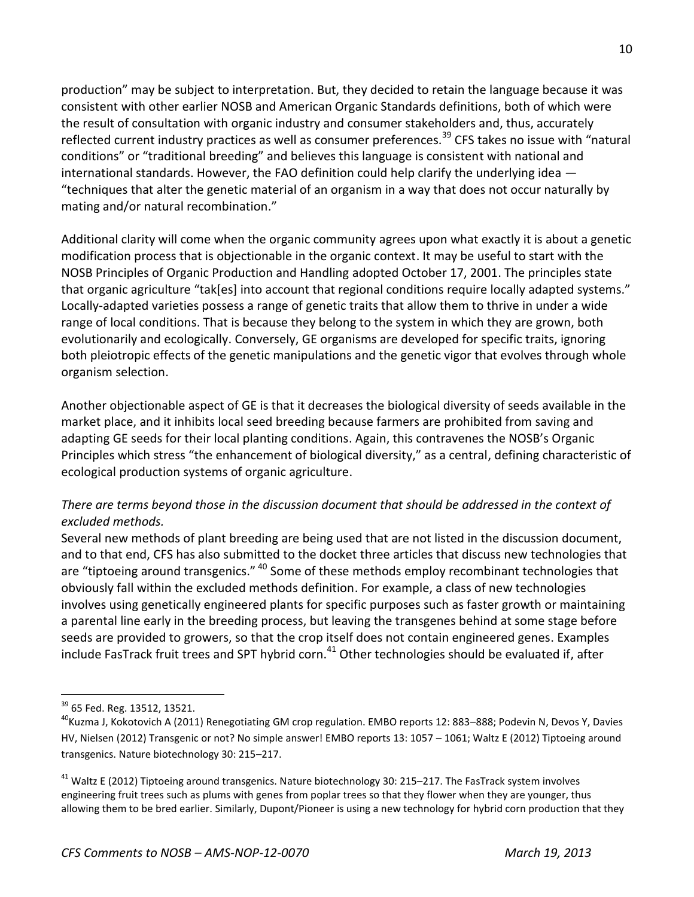production" may be subject to interpretation. But, they decided to retain the language because it was consistent with other earlier NOSB and American Organic Standards definitions, both of which were the result of consultation with organic industry and consumer stakeholders and, thus, accurately reflected current industry practices as well as consumer preferences.<sup>39</sup> CFS takes no issue with "natural conditions" or "traditional breeding" and believes this language is consistent with national and international standards. However, the FAO definition could help clarify the underlying idea — "techniques that alter the genetic material of an organism in a way that does not occur naturally by mating and/or natural recombination."

Additional clarity will come when the organic community agrees upon what exactly it is about a genetic modification process that is objectionable in the organic context. It may be useful to start with the NOSB Principles of Organic Production and Handling adopted October 17, 2001. The principles state that organic agriculture "tak[es] into account that regional conditions require locally adapted systems." Locally-adapted varieties possess a range of genetic traits that allow them to thrive in under a wide range of local conditions. That is because they belong to the system in which they are grown, both evolutionarily and ecologically. Conversely, GE organisms are developed for specific traits, ignoring both pleiotropic effects of the genetic manipulations and the genetic vigor that evolves through whole organism selection.

Another objectionable aspect of GE is that it decreases the biological diversity of seeds available in the market place, and it inhibits local seed breeding because farmers are prohibited from saving and adapting GE seeds for their local planting conditions. Again, this contravenes the NOSB's Organic Principles which stress "the enhancement of biological diversity," as a central, defining characteristic of ecological production systems of organic agriculture.

## *There are terms beyond those in the discussion document that should be addressed in the context of excluded methods.*

Several new methods of plant breeding are being used that are not listed in the discussion document, and to that end, CFS has also submitted to the docket three articles that discuss new technologies that are "tiptoeing around transgenics." <sup>40</sup> Some of these methods employ recombinant technologies that obviously fall within the excluded methods definition. For example, a class of new technologies involves using genetically engineered plants for specific purposes such as faster growth or maintaining a parental line early in the breeding process, but leaving the transgenes behind at some stage before seeds are provided to growers, so that the crop itself does not contain engineered genes. Examples include FasTrack fruit trees and SPT hybrid corn.<sup>41</sup> Other technologies should be evaluated if, after

<sup>39</sup> 65 Fed. Reg. 13512, 13521.

<sup>&</sup>lt;sup>40</sup>Kuzma J, Kokotovich A (2011) Renegotiating GM crop regulation. EMBO reports 12: 883–888; Podevin N, Devos Y, Davies HV, Nielsen (2012) Transgenic or not? No simple answer! EMBO reports 13: 1057 – 1061; Waltz E (2012) Tiptoeing around transgenics. Nature biotechnology 30: 215–217.

<sup>&</sup>lt;sup>41</sup> Waltz E (2012) Tiptoeing around transgenics. Nature biotechnology 30: 215–217. The FasTrack system involves engineering fruit trees such as plums with genes from poplar trees so that they flower when they are younger, thus allowing them to be bred earlier. Similarly, Dupont/Pioneer is using a new technology for hybrid corn production that they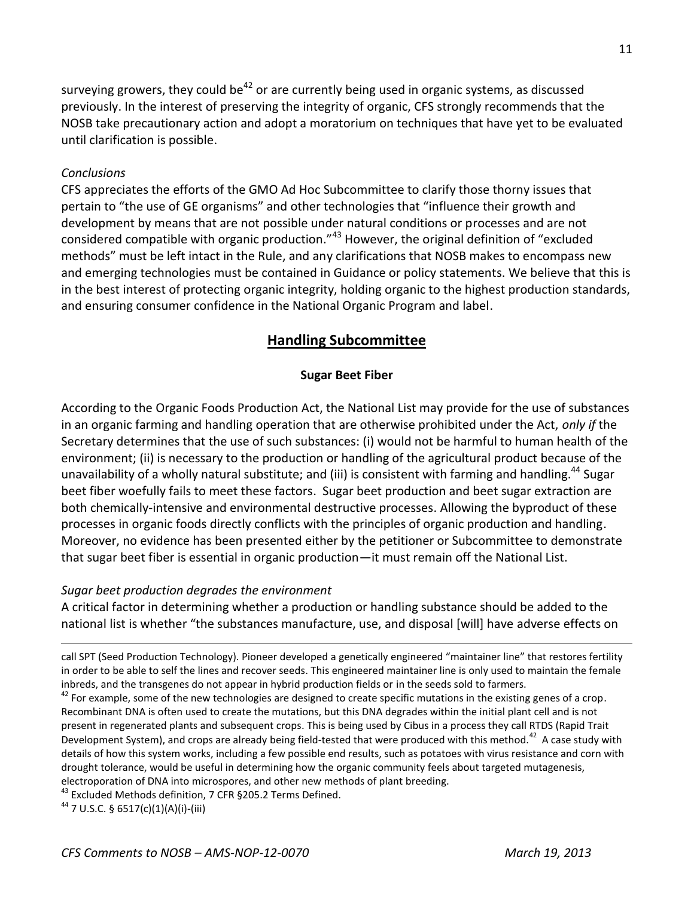surveying growers, they could be<sup>42</sup> or are currently being used in organic systems, as discussed previously. In the interest of preserving the integrity of organic, CFS strongly recommends that the NOSB take precautionary action and adopt a moratorium on techniques that have yet to be evaluated until clarification is possible.

### *Conclusions*

CFS appreciates the efforts of the GMO Ad Hoc Subcommittee to clarify those thorny issues that pertain to "the use of GE organisms" and other technologies that "influence their growth and development by means that are not possible under natural conditions or processes and are not considered compatible with organic production."<sup>43</sup> However, the original definition of "excluded methods" must be left intact in the Rule, and any clarifications that NOSB makes to encompass new and emerging technologies must be contained in Guidance or policy statements. We believe that this is in the best interest of protecting organic integrity, holding organic to the highest production standards, and ensuring consumer confidence in the National Organic Program and label.

## **Handling Subcommittee**

### **Sugar Beet Fiber**

According to the Organic Foods Production Act, the National List may provide for the use of substances in an organic farming and handling operation that are otherwise prohibited under the Act, *only if* the Secretary determines that the use of such substances: (i) would not be harmful to human health of the environment; (ii) is necessary to the production or handling of the agricultural product because of the unavailability of a wholly natural substitute; and (iii) is consistent with farming and handling.<sup>44</sup> Sugar beet fiber woefully fails to meet these factors. Sugar beet production and beet sugar extraction are both chemically-intensive and environmental destructive processes. Allowing the byproduct of these processes in organic foods directly conflicts with the principles of organic production and handling. Moreover, no evidence has been presented either by the petitioner or Subcommittee to demonstrate that sugar beet fiber is essential in organic production—it must remain off the National List.

#### *Sugar beet production degrades the environment*

A critical factor in determining whether a production or handling substance should be added to the national list is whether "the substances manufacture, use, and disposal [will] have adverse effects on

call SPT (Seed Production Technology). Pioneer developed a genetically engineered "maintainer line" that restores fertility in order to be able to self the lines and recover seeds. This engineered maintainer line is only used to maintain the female inbreds, and the transgenes do not appear in hybrid production fields or in the seeds sold to farmers.

 $42$  For example, some of the new technologies are designed to create specific mutations in the existing genes of a crop. Recombinant DNA is often used to create the mutations, but this DNA degrades within the initial plant cell and is not present in regenerated plants and subsequent crops. This is being used by Cibus in a process they call RTDS (Rapid Trait Development System), and crops are already being field-tested that were produced with this method.<sup>42</sup> A case study with details of how this system works, including a few possible end results, such as potatoes with virus resistance and corn with drought tolerance, would be useful in determining how the organic community feels about targeted mutagenesis, electroporation of DNA into microspores, and other new methods of plant breeding.

<sup>43</sup> Excluded Methods definition, 7 CFR § 205.2 Terms Defined.

<sup>44</sup> 7 U.S.C. § 6517(c)(1)(A)(i)-(iii)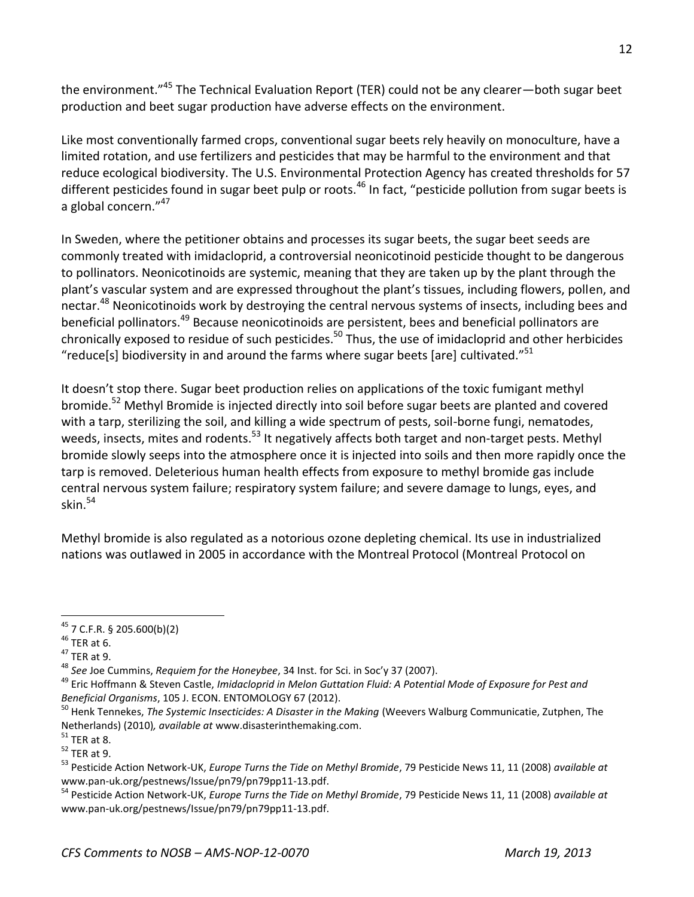the environment."<sup>45</sup> The Technical Evaluation Report (TER) could not be any clearer—both sugar beet production and beet sugar production have adverse effects on the environment.

Like most conventionally farmed crops, conventional sugar beets rely heavily on monoculture, have a limited rotation, and use fertilizers and pesticides that may be harmful to the environment and that reduce ecological biodiversity. The U.S. Environmental Protection Agency has created thresholds for 57 different pesticides found in sugar beet pulp or roots.<sup>46</sup> In fact, "pesticide pollution from sugar beets is a global concern."<sup>47</sup>

In Sweden, where the petitioner obtains and processes its sugar beets, the sugar beet seeds are commonly treated with imidacloprid, a controversial neonicotinoid pesticide thought to be dangerous to pollinators. Neonicotinoids are systemic, meaning that they are taken up by the plant through the plant's vascular system and are expressed throughout the plant's tissues, including flowers, pollen, and nectar.<sup>48</sup> Neonicotinoids work by destroying the central nervous systems of insects, including bees and beneficial pollinators.<sup>49</sup> Because neonicotinoids are persistent, bees and beneficial pollinators are chronically exposed to residue of such pesticides.<sup>50</sup> Thus, the use of imidacloprid and other herbicides "reduce[s] biodiversity in and around the farms where sugar beets [are] cultivated." $51$ 

It doesn't stop there. Sugar beet production relies on applications of the toxic fumigant methyl bromide.<sup>52</sup> Methyl Bromide is injected directly into soil before sugar beets are planted and covered with a tarp, sterilizing the soil, and killing a wide spectrum of pests, soil-borne fungi, nematodes, weeds, insects, mites and rodents.<sup>53</sup> It negatively affects both target and non-target pests. Methyl bromide slowly seeps into the atmosphere once it is injected into soils and then more rapidly once the tarp is removed. Deleterious human health effects from exposure to methyl bromide gas include central nervous system failure; respiratory system failure; and severe damage to lungs, eyes, and skin. $54$ 

Methyl bromide is also regulated as a notorious ozone depleting chemical. Its use in industrialized nations was outlawed in 2005 in accordance with the Montreal Protocol (Montreal Protocol on

 $45$  7 C.F.R. § 205.600(b)(2)

 $46$  TER at 6.

 $47$  TER at 9.

<sup>48</sup> *See* Joe Cummins, *Requiem for the Honeybee*, 34 Inst. for Sci. in Soc'y 37 (2007).

<sup>49</sup> Eric Hoffmann & Steven Castle, *Imidacloprid in Melon Guttation Fluid: A Potential Mode of Exposure for Pest and Beneficial Organisms*, 105 J. ECON. ENTOMOLOGY 67 (2012).

<sup>50</sup> Henk Tennekes, *The Systemic Insecticides: A Disaster in the Making* (Weevers Walburg Communicatie, Zutphen, The Netherlands) (2010)*, available at* www.disasterinthemaking.com.

 $51$  TER at 8.

 $52$  TER at 9.

<sup>53</sup> Pesticide Action Network-UK, *Europe Turns the Tide on Methyl Bromide*, 79 Pesticide News 11, 11 (2008) *available at* www.pan-uk.org/pestnews/Issue/pn79/pn79pp11-13.pdf.

<sup>54</sup> Pesticide Action Network-UK, *Europe Turns the Tide on Methyl Bromide*, 79 Pesticide News 11, 11 (2008) *available at* www.pan-uk.org/pestnews/Issue/pn79/pn79pp11-13.pdf.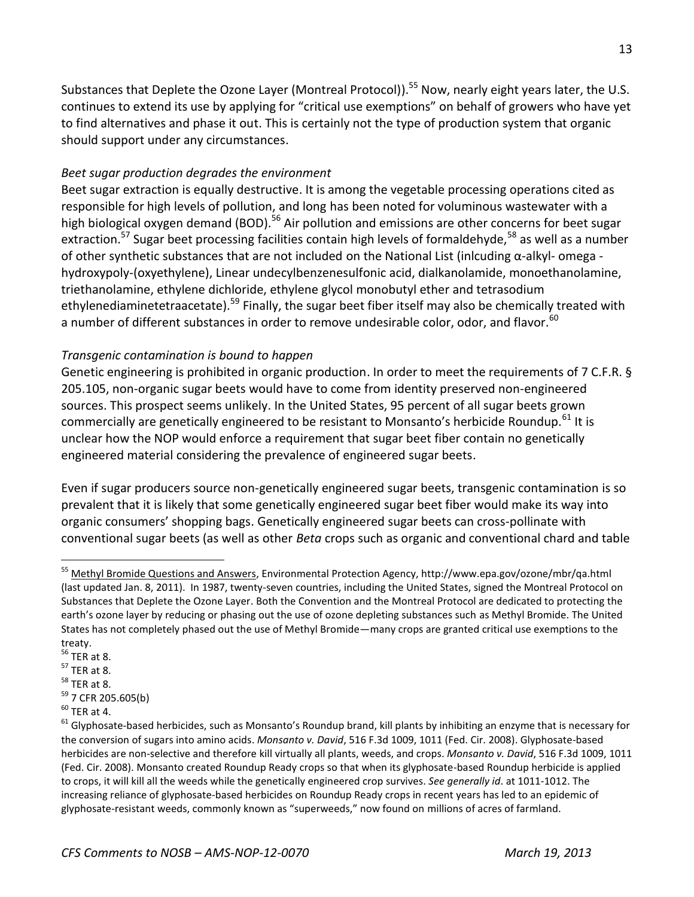Substances that Deplete the Ozone Layer (Montreal Protocol)).<sup>55</sup> Now, nearly eight years later, the U.S. continues to extend its use by applying for "critical use exemptions" on behalf of growers who have yet to find alternatives and phase it out. This is certainly not the type of production system that organic should support under any circumstances.

## *Beet sugar production degrades the environment*

Beet sugar extraction is equally destructive. It is among the vegetable processing operations cited as responsible for high levels of pollution, and long has been noted for voluminous wastewater with a high biological oxygen demand (BOD).<sup>56</sup> Air pollution and emissions are other concerns for beet sugar extraction.<sup>57</sup> Sugar beet processing facilities contain high levels of formaldehyde,<sup>58</sup> as well as a number of other synthetic substances that are not included on the National List (inlcuding α-alkyl- omega hydroxypoly-(oxyethylene), Linear undecylbenzenesulfonic acid, dialkanolamide, monoethanolamine, triethanolamine, ethylene dichloride, ethylene glycol monobutyl ether and tetrasodium ethylenediaminetetraacetate).<sup>59</sup> Finally, the sugar beet fiber itself may also be chemically treated with a number of different substances in order to remove undesirable color, odor, and flavor.<sup>60</sup>

## *Transgenic contamination is bound to happen*

Genetic engineering is prohibited in organic production. In order to meet the requirements of 7 C.F.R. § 205.105, non-organic sugar beets would have to come from identity preserved non-engineered sources. This prospect seems unlikely. In the United States, 95 percent of all sugar beets grown commercially are genetically engineered to be resistant to Monsanto's herbicide Roundup.<sup>61</sup> It is unclear how the NOP would enforce a requirement that sugar beet fiber contain no genetically engineered material considering the prevalence of engineered sugar beets.

Even if sugar producers source non-genetically engineered sugar beets, transgenic contamination is so prevalent that it is likely that some genetically engineered sugar beet fiber would make its way into organic consumers' shopping bags. Genetically engineered sugar beets can cross-pollinate with conventional sugar beets (as well as other *Beta* crops such as organic and conventional chard and table

<sup>55</sup> Methyl Bromide Questions and Answers, Environmental Protection Agency, http://www.epa.gov/ozone/mbr/qa.html (last updated Jan. 8, 2011). In 1987, twenty-seven countries, including the United States, signed the Montreal Protocol on Substances that Deplete the Ozone Layer. Both the Convention and the Montreal Protocol are dedicated to protecting the earth's ozone layer by reducing or phasing out the use of ozone depleting substances such as Methyl Bromide. The United States has not completely phased out the use of Methyl Bromide—many crops are granted critical use exemptions to the treaty.

 $56$  TER at 8.

 $57$  TER at 8.

 $58$  TER at 8.

<sup>59</sup> 7 CFR 205.605(b)

 $60$  TER at 4.

 $61$  Glyphosate-based herbicides, such as Monsanto's Roundup brand, kill plants by inhibiting an enzyme that is necessary for the conversion of sugars into amino acids. *Monsanto v. David*, 516 F.3d 1009, 1011 (Fed. Cir. 2008). Glyphosate-based herbicides are non-selective and therefore kill virtually all plants, weeds, and crops. *Monsanto v. David*, 516 F.3d 1009, 1011 (Fed. Cir. 2008). Monsanto created Roundup Ready crops so that when its glyphosate-based Roundup herbicide is applied to crops, it will kill all the weeds while the genetically engineered crop survives. *See generally id*. at 1011-1012. The increasing reliance of glyphosate-based herbicides on Roundup Ready crops in recent years has led to an epidemic of glyphosate-resistant weeds, commonly known as "superweeds," now found on millions of acres of farmland.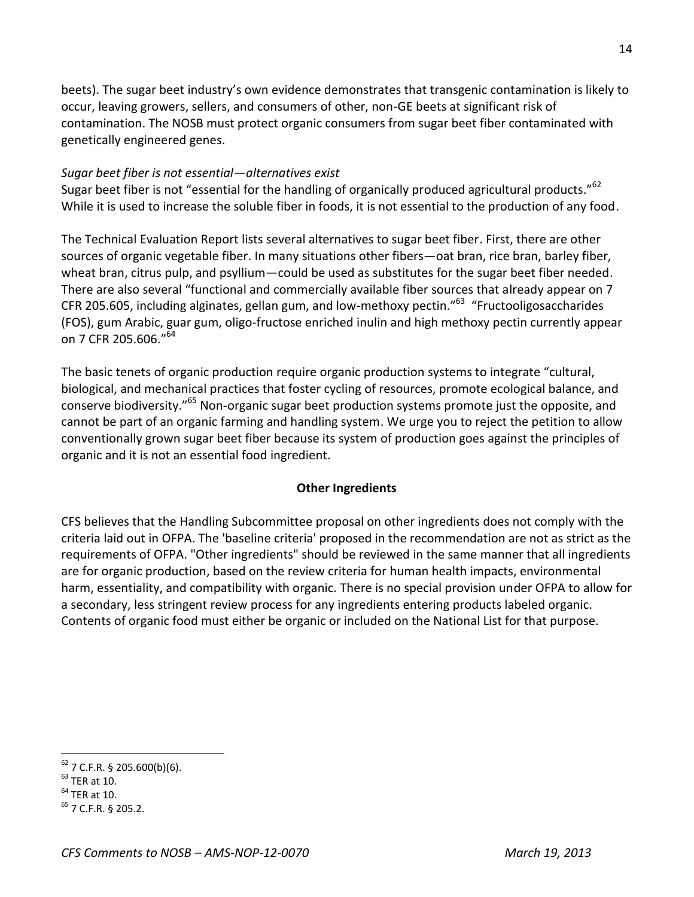beets). The sugar beet industry's own evidence demonstrates that transgenic contamination is likely to occur, leaving growers, sellers, and consumers of other, non-GE beets at significant risk of contamination. The NOSB must protect organic consumers from sugar beet fiber contaminated with genetically engineered genes.

### *Sugar beet fiber is not essential—alternatives exist*

Sugar beet fiber is not "essential for the handling of organically produced agricultural products."<sup>62</sup> While it is used to increase the soluble fiber in foods, it is not essential to the production of any food.

The Technical Evaluation Report lists several alternatives to sugar beet fiber. First, there are other sources of organic vegetable fiber. In many situations other fibers—oat bran, rice bran, barley fiber, wheat bran, citrus pulp, and psyllium—could be used as substitutes for the sugar beet fiber needed. There are also several "functional and commercially available fiber sources that already appear on 7 CFR 205.605, including alginates, gellan gum, and low-methoxy pectin."<sup>63</sup> "Fructooligosaccharides (FOS), gum Arabic, guar gum, oligo-fructose enriched inulin and high methoxy pectin currently appear on 7 CFR 205.606."<sup>64</sup>

The basic tenets of organic production require organic production systems to integrate "cultural, biological, and mechanical practices that foster cycling of resources, promote ecological balance, and conserve biodiversity."<sup>65</sup> Non-organic sugar beet production systems promote just the opposite, and cannot be part of an organic farming and handling system. We urge you to reject the petition to allow conventionally grown sugar beet fiber because its system of production goes against the principles of organic and it is not an essential food ingredient.

### **Other Ingredients**

CFS believes that the Handling Subcommittee proposal on other ingredients does not comply with the criteria laid out in OFPA. The 'baseline criteria' proposed in the recommendation are not as strict as the requirements of OFPA. "Other ingredients" should be reviewed in the same manner that all ingredients are for organic production, based on the review criteria for human health impacts, environmental harm, essentiality, and compatibility with organic. There is no special provision under OFPA to allow for a secondary, less stringent review process for any ingredients entering products labeled organic. Contents of organic food must either be organic or included on the National List for that purpose.

 $62$  7 C.F.R. § 205.600(b)(6).

 $<sup>63</sup>$  TER at 10.</sup>

 $<sup>64</sup>$  TER at 10.</sup>

 $^{65}$  7 C.F.R. § 205.2.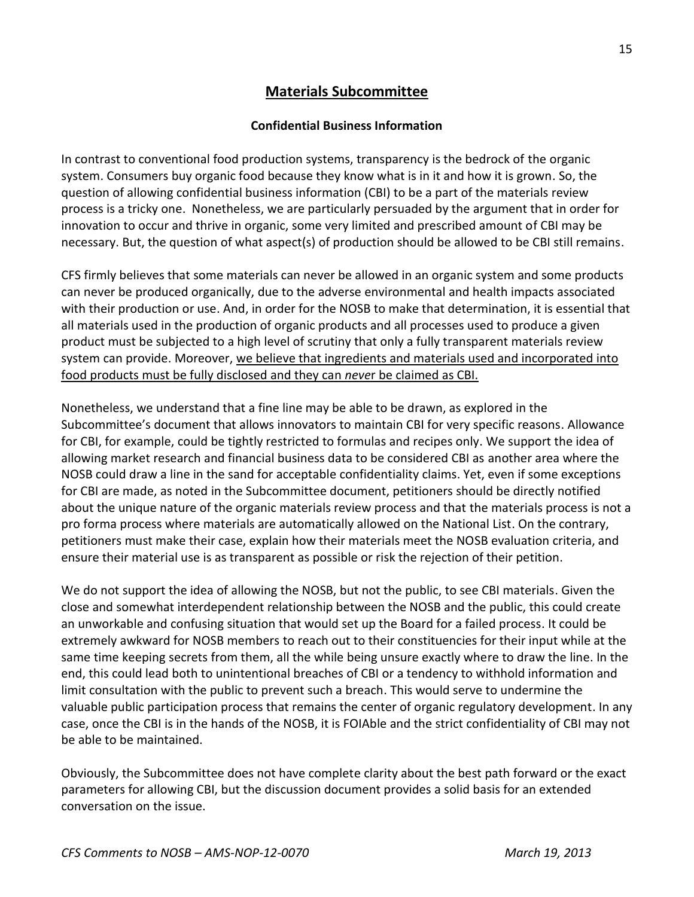# **Materials Subcommittee**

### **Confidential Business Information**

In contrast to conventional food production systems, transparency is the bedrock of the organic system. Consumers buy organic food because they know what is in it and how it is grown. So, the question of allowing confidential business information (CBI) to be a part of the materials review process is a tricky one. Nonetheless, we are particularly persuaded by the argument that in order for innovation to occur and thrive in organic, some very limited and prescribed amount of CBI may be necessary. But, the question of what aspect(s) of production should be allowed to be CBI still remains.

CFS firmly believes that some materials can never be allowed in an organic system and some products can never be produced organically, due to the adverse environmental and health impacts associated with their production or use. And, in order for the NOSB to make that determination, it is essential that all materials used in the production of organic products and all processes used to produce a given product must be subjected to a high level of scrutiny that only a fully transparent materials review system can provide. Moreover, we believe that ingredients and materials used and incorporated into food products must be fully disclosed and they can *neve*r be claimed as CBI.

Nonetheless, we understand that a fine line may be able to be drawn, as explored in the Subcommittee's document that allows innovators to maintain CBI for very specific reasons. Allowance for CBI, for example, could be tightly restricted to formulas and recipes only. We support the idea of allowing market research and financial business data to be considered CBI as another area where the NOSB could draw a line in the sand for acceptable confidentiality claims. Yet, even if some exceptions for CBI are made, as noted in the Subcommittee document, petitioners should be directly notified about the unique nature of the organic materials review process and that the materials process is not a pro forma process where materials are automatically allowed on the National List. On the contrary, petitioners must make their case, explain how their materials meet the NOSB evaluation criteria, and ensure their material use is as transparent as possible or risk the rejection of their petition.

We do not support the idea of allowing the NOSB, but not the public, to see CBI materials. Given the close and somewhat interdependent relationship between the NOSB and the public, this could create an unworkable and confusing situation that would set up the Board for a failed process. It could be extremely awkward for NOSB members to reach out to their constituencies for their input while at the same time keeping secrets from them, all the while being unsure exactly where to draw the line. In the end, this could lead both to unintentional breaches of CBI or a tendency to withhold information and limit consultation with the public to prevent such a breach. This would serve to undermine the valuable public participation process that remains the center of organic regulatory development. In any case, once the CBI is in the hands of the NOSB, it is FOIAble and the strict confidentiality of CBI may not be able to be maintained.

Obviously, the Subcommittee does not have complete clarity about the best path forward or the exact parameters for allowing CBI, but the discussion document provides a solid basis for an extended conversation on the issue.